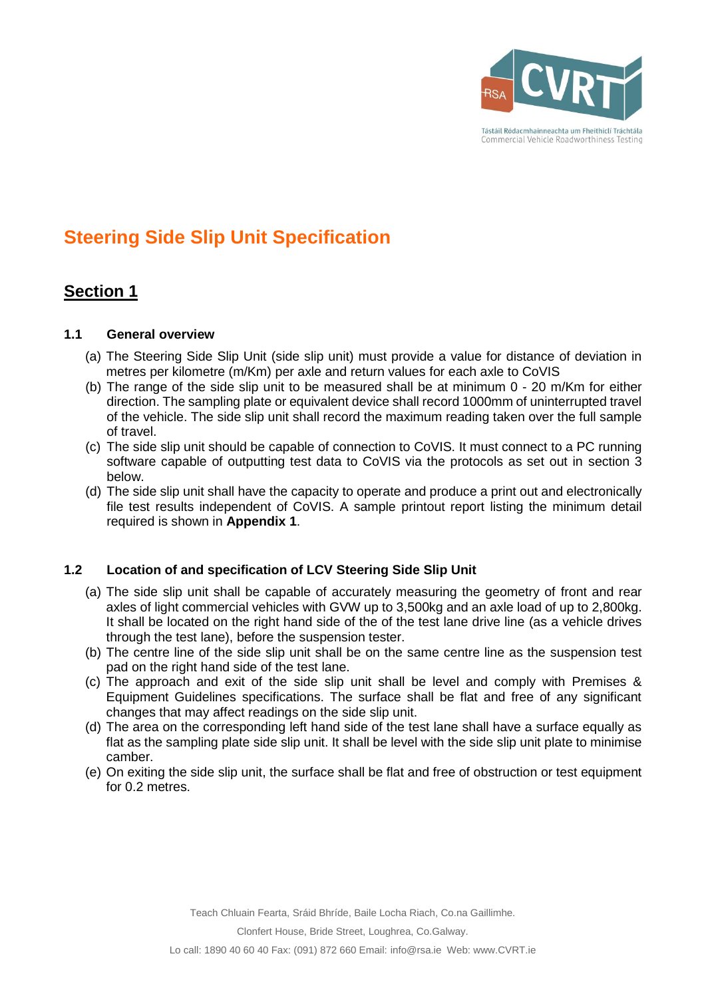

# **Steering Side Slip Unit Specification**

## **Section 1**

### **1.1 General overview**

- (a) The Steering Side Slip Unit (side slip unit) must provide a value for distance of deviation in metres per kilometre (m/Km) per axle and return values for each axle to CoVIS
- (b) The range of the side slip unit to be measured shall be at minimum 0 20 m/Km for either direction. The sampling plate or equivalent device shall record 1000mm of uninterrupted travel of the vehicle. The side slip unit shall record the maximum reading taken over the full sample of travel.
- (c) The side slip unit should be capable of connection to CoVIS. It must connect to a PC running software capable of outputting test data to CoVIS via the protocols as set out in section 3 below.
- (d) The side slip unit shall have the capacity to operate and produce a print out and electronically file test results independent of CoVIS. A sample printout report listing the minimum detail required is shown in **Appendix 1**.

### **1.2 Location of and specification of LCV Steering Side Slip Unit**

- (a) The side slip unit shall be capable of accurately measuring the geometry of front and rear axles of light commercial vehicles with GVW up to 3,500kg and an axle load of up to 2,800kg. It shall be located on the right hand side of the of the test lane drive line (as a vehicle drives through the test lane), before the suspension tester.
- (b) The centre line of the side slip unit shall be on the same centre line as the suspension test pad on the right hand side of the test lane.
- (c) The approach and exit of the side slip unit shall be level and comply with Premises & Equipment Guidelines specifications. The surface shall be flat and free of any significant changes that may affect readings on the side slip unit.
- (d) The area on the corresponding left hand side of the test lane shall have a surface equally as flat as the sampling plate side slip unit. It shall be level with the side slip unit plate to minimise camber.
- (e) On exiting the side slip unit, the surface shall be flat and free of obstruction or test equipment for 0.2 metres.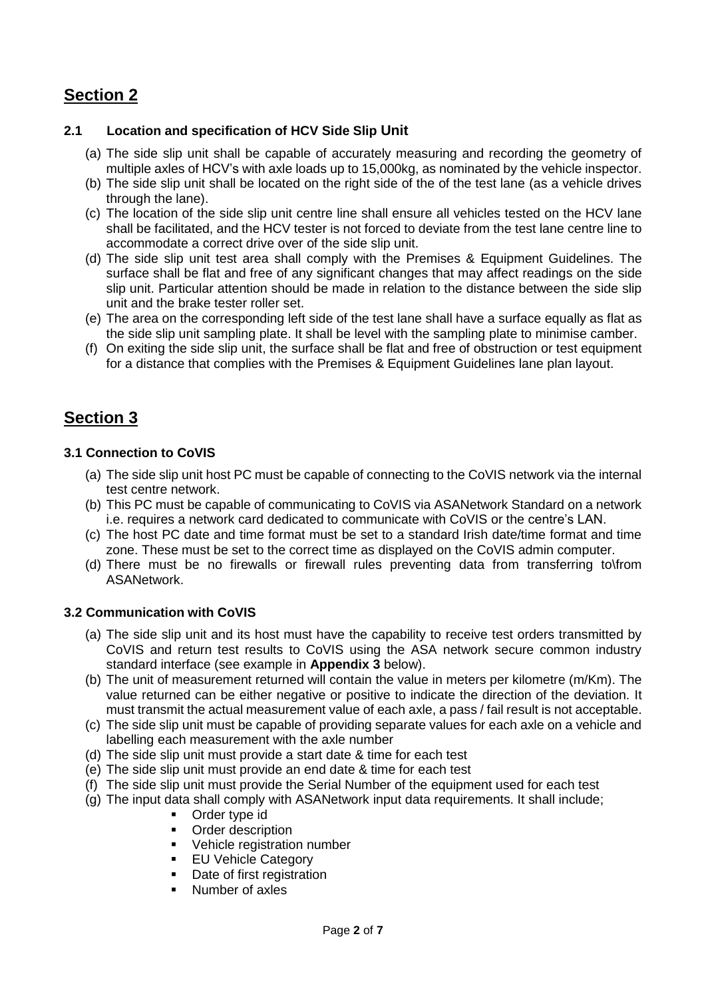## **Section 2**

### **2.1 Location and specification of HCV Side Slip Unit**

- (a) The side slip unit shall be capable of accurately measuring and recording the geometry of multiple axles of HCV's with axle loads up to 15,000kg, as nominated by the vehicle inspector.
- (b) The side slip unit shall be located on the right side of the of the test lane (as a vehicle drives through the lane).
- (c) The location of the side slip unit centre line shall ensure all vehicles tested on the HCV lane shall be facilitated, and the HCV tester is not forced to deviate from the test lane centre line to accommodate a correct drive over of the side slip unit.
- (d) The side slip unit test area shall comply with the Premises & Equipment Guidelines. The surface shall be flat and free of any significant changes that may affect readings on the side slip unit. Particular attention should be made in relation to the distance between the side slip unit and the brake tester roller set.
- (e) The area on the corresponding left side of the test lane shall have a surface equally as flat as the side slip unit sampling plate. It shall be level with the sampling plate to minimise camber.
- (f) On exiting the side slip unit, the surface shall be flat and free of obstruction or test equipment for a distance that complies with the Premises & Equipment Guidelines lane plan layout.

## **Section 3**

### **3.1 Connection to CoVIS**

- (a) The side slip unit host PC must be capable of connecting to the CoVIS network via the internal test centre network.
- (b) This PC must be capable of communicating to CoVIS via ASANetwork Standard on a network i.e. requires a network card dedicated to communicate with CoVIS or the centre's LAN.
- (c) The host PC date and time format must be set to a standard Irish date/time format and time zone. These must be set to the correct time as displayed on the CoVIS admin computer.
- (d) There must be no firewalls or firewall rules preventing data from transferring to\from ASANetwork.

### **3.2 Communication with CoVIS**

- (a) The side slip unit and its host must have the capability to receive test orders transmitted by CoVIS and return test results to CoVIS using the ASA network secure common industry standard interface (see example in **Appendix 3** below).
- (b) The unit of measurement returned will contain the value in meters per kilometre (m/Km). The value returned can be either negative or positive to indicate the direction of the deviation. It must transmit the actual measurement value of each axle, a pass / fail result is not acceptable.
- (c) The side slip unit must be capable of providing separate values for each axle on a vehicle and labelling each measurement with the axle number
- (d) The side slip unit must provide a start date & time for each test
- (e) The side slip unit must provide an end date & time for each test
- (f) The side slip unit must provide the Serial Number of the equipment used for each test
- (g) The input data shall comply with ASANetwork input data requirements. It shall include;
	- **•** Order type id
	- Order description
	- **•** Vehicle registration number
	- **EU Vehicle Category**
	- Date of first registration
	- Number of axles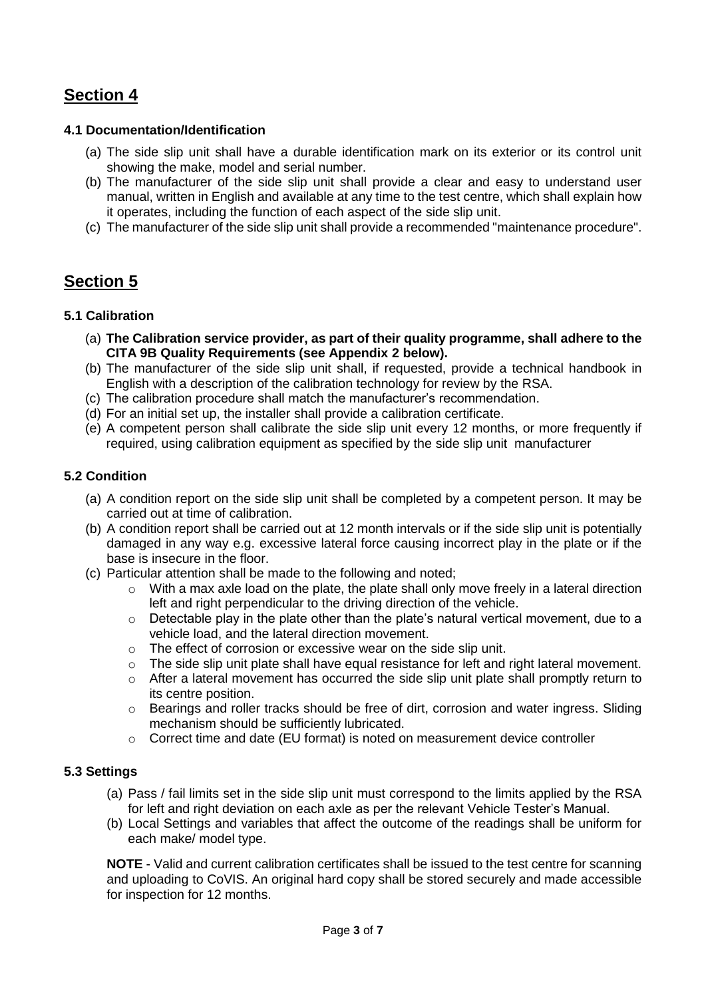## **Section 4**

### **4.1 Documentation/Identification**

- (a) The side slip unit shall have a durable identification mark on its exterior or its control unit showing the make, model and serial number.
- (b) The manufacturer of the side slip unit shall provide a clear and easy to understand user manual, written in English and available at any time to the test centre, which shall explain how it operates, including the function of each aspect of the side slip unit.
- (c) The manufacturer of the side slip unit shall provide a recommended "maintenance procedure".

## **Section 5**

### **5.1 Calibration**

- (a) **The Calibration service provider, as part of their quality programme, shall adhere to the CITA 9B Quality Requirements (see Appendix 2 below).**
- (b) The manufacturer of the side slip unit shall, if requested, provide a technical handbook in English with a description of the calibration technology for review by the RSA.
- (c) The calibration procedure shall match the manufacturer's recommendation.
- (d) For an initial set up, the installer shall provide a calibration certificate.
- (e) A competent person shall calibrate the side slip unit every 12 months, or more frequently if required, using calibration equipment as specified by the side slip unit manufacturer

### **5.2 Condition**

- (a) A condition report on the side slip unit shall be completed by a competent person. It may be carried out at time of calibration.
- (b) A condition report shall be carried out at 12 month intervals or if the side slip unit is potentially damaged in any way e.g. excessive lateral force causing incorrect play in the plate or if the base is insecure in the floor.
- (c) Particular attention shall be made to the following and noted;
	- $\circ$  With a max axle load on the plate, the plate shall only move freely in a lateral direction left and right perpendicular to the driving direction of the vehicle.
	- $\circ$  Detectable play in the plate other than the plate's natural vertical movement, due to a vehicle load, and the lateral direction movement.
	- $\circ$  The effect of corrosion or excessive wear on the side slip unit.
	- $\circ$  The side slip unit plate shall have equal resistance for left and right lateral movement.
	- o After a lateral movement has occurred the side slip unit plate shall promptly return to its centre position.
	- $\circ$  Bearings and roller tracks should be free of dirt, corrosion and water ingress. Sliding mechanism should be sufficiently lubricated.
	- $\circ$  Correct time and date (EU format) is noted on measurement device controller

### **5.3 Settings**

- (a) Pass / fail limits set in the side slip unit must correspond to the limits applied by the RSA for left and right deviation on each axle as per the relevant Vehicle Tester's Manual.
- (b) Local Settings and variables that affect the outcome of the readings shall be uniform for each make/ model type.

**NOTE** - Valid and current calibration certificates shall be issued to the test centre for scanning and uploading to CoVIS. An original hard copy shall be stored securely and made accessible for inspection for 12 months.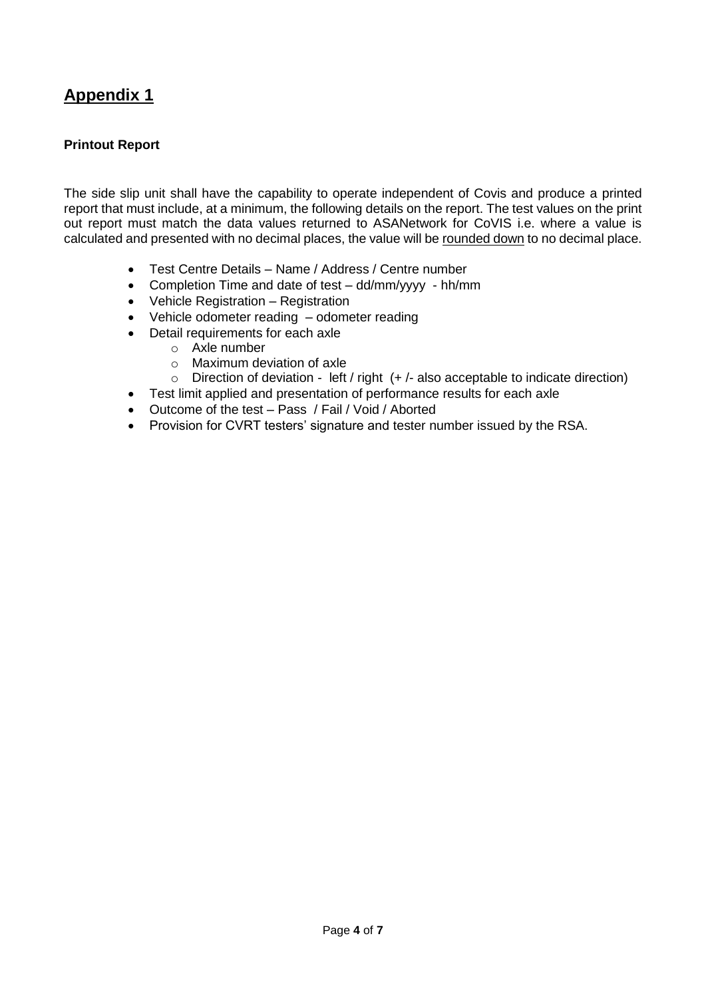## **Appendix 1**

### **Printout Report**

The side slip unit shall have the capability to operate independent of Covis and produce a printed report that must include, at a minimum, the following details on the report. The test values on the print out report must match the data values returned to ASANetwork for CoVIS i.e. where a value is calculated and presented with no decimal places, the value will be rounded down to no decimal place.

- Test Centre Details Name / Address / Centre number
- Completion Time and date of test dd/mm/yyyy hh/mm
- Vehicle Registration Registration
- Vehicle odometer reading odometer reading
- Detail requirements for each axle
	- o Axle number
	- o Maximum deviation of axle
	- $\circ$  Direction of deviation left / right (+ /- also acceptable to indicate direction)
- Test limit applied and presentation of performance results for each axle
- Outcome of the test Pass / Fail / Void / Aborted
- Provision for CVRT testers' signature and tester number issued by the RSA.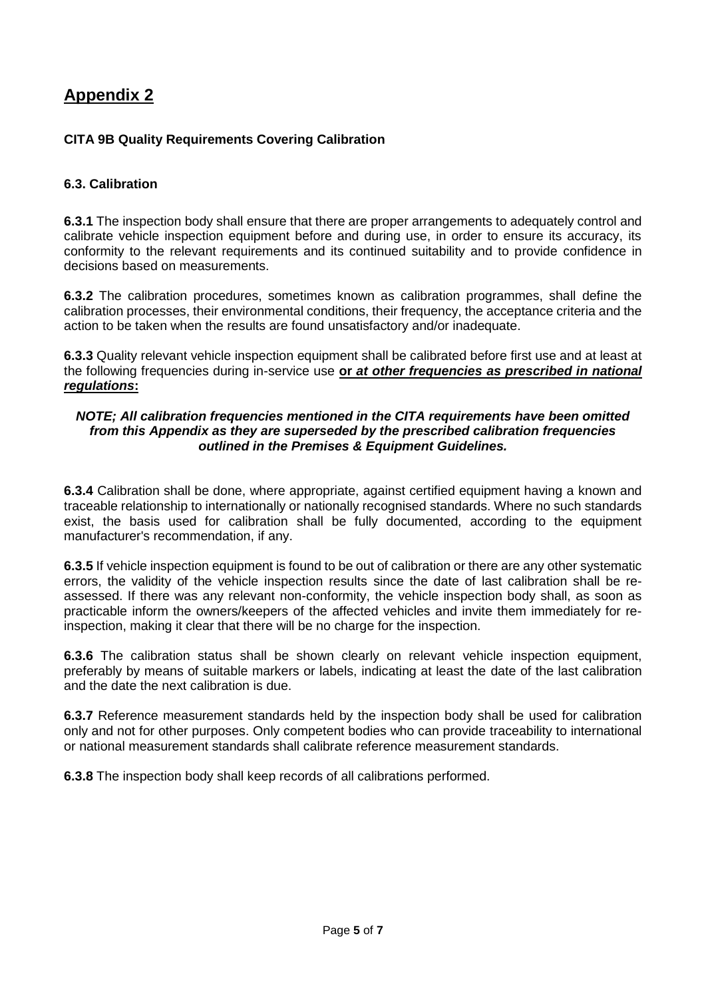## **Appendix 2**

### **CITA 9B Quality Requirements Covering Calibration**

### **6.3. Calibration**

**6.3.1** The inspection body shall ensure that there are proper arrangements to adequately control and calibrate vehicle inspection equipment before and during use, in order to ensure its accuracy, its conformity to the relevant requirements and its continued suitability and to provide confidence in decisions based on measurements.

**6.3.2** The calibration procedures, sometimes known as calibration programmes, shall define the calibration processes, their environmental conditions, their frequency, the acceptance criteria and the action to be taken when the results are found unsatisfactory and/or inadequate.

**6.3.3** Quality relevant vehicle inspection equipment shall be calibrated before first use and at least at the following frequencies during in-service use **or** *at other frequencies as prescribed in national regulations***:**

#### *NOTE; All calibration frequencies mentioned in the CITA requirements have been omitted from this Appendix as they are superseded by the prescribed calibration frequencies outlined in the Premises & Equipment Guidelines.*

**6.3.4** Calibration shall be done, where appropriate, against certified equipment having a known and traceable relationship to internationally or nationally recognised standards. Where no such standards exist, the basis used for calibration shall be fully documented, according to the equipment manufacturer's recommendation, if any.

**6.3.5** If vehicle inspection equipment is found to be out of calibration or there are any other systematic errors, the validity of the vehicle inspection results since the date of last calibration shall be reassessed. If there was any relevant non-conformity, the vehicle inspection body shall, as soon as practicable inform the owners/keepers of the affected vehicles and invite them immediately for reinspection, making it clear that there will be no charge for the inspection.

**6.3.6** The calibration status shall be shown clearly on relevant vehicle inspection equipment, preferably by means of suitable markers or labels, indicating at least the date of the last calibration and the date the next calibration is due.

**6.3.7** Reference measurement standards held by the inspection body shall be used for calibration only and not for other purposes. Only competent bodies who can provide traceability to international or national measurement standards shall calibrate reference measurement standards.

**6.3.8** The inspection body shall keep records of all calibrations performed.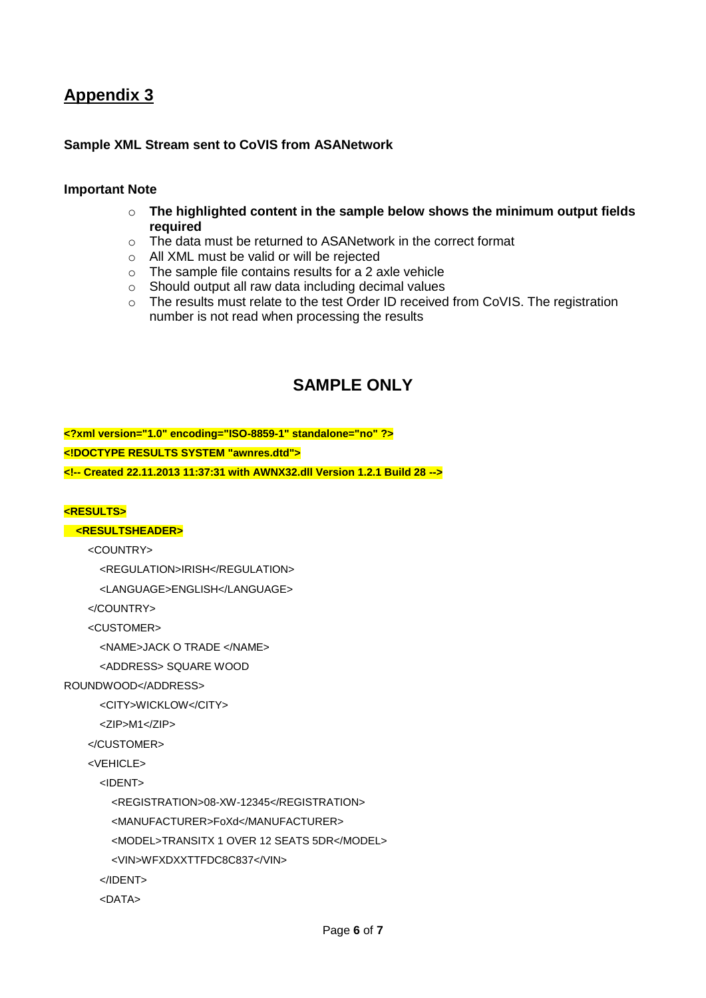## **Appendix 3**

### **Sample XML Stream sent to CoVIS from ASANetwork**

#### **Important Note**

- o **The highlighted content in the sample below shows the minimum output fields required**
- o The data must be returned to ASANetwork in the correct format
- o All XML must be valid or will be rejected
- o The sample file contains results for a 2 axle vehicle
- o Should output all raw data including decimal values
- o The results must relate to the test Order ID received from CoVIS. The registration number is not read when processing the results

## **SAMPLE ONLY**

**<?xml version="1.0" encoding="ISO-8859-1" standalone="no" ?> <!DOCTYPE RESULTS SYSTEM "awnres.dtd"> <!-- Created 22.11.2013 11:37:31 with AWNX32.dll Version 1.2.1 Build 28 -->**

#### **<RESULTS>**

#### **<RESULTSHEADER>**

<COUNTRY>

<REGULATION>IRISH</REGULATION>

<LANGUAGE>ENGLISH</LANGUAGE>

</COUNTRY>

<CUSTOMER>

<NAME>JACK O TRADE </NAME>

<ADDRESS> SQUARE WOOD

#### ROUNDWOOD</ADDRESS>

<CITY>WICKLOW</CITY>

<ZIP>M1</ZIP>

```
 </CUSTOMER>
```

```
\epsilonVEHICLES
```
<IDENT>

<REGISTRATION>08-XW-12345</REGISTRATION>

<MANUFACTURER>FoXd</MANUFACTURER>

<MODEL>TRANSITX 1 OVER 12 SEATS 5DR</MODEL>

<VIN>WFXDXXTTFDC8C837</VIN>

</IDENT>

<DATA>